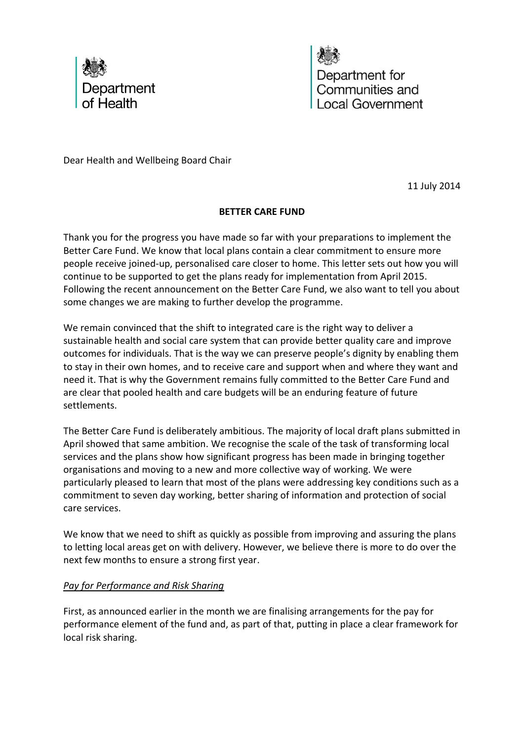

Department for Communities and Local Government

Dear Health and Wellbeing Board Chair

11 July 2014

# **BETTER CARE FUND**

Thank you for the progress you have made so far with your preparations to implement the Better Care Fund. We know that local plans contain a clear commitment to ensure more people receive joined-up, personalised care closer to home. This letter sets out how you will continue to be supported to get the plans ready for implementation from April 2015. Following the recent announcement on the Better Care Fund, we also want to tell you about some changes we are making to further develop the programme.

We remain convinced that the shift to integrated care is the right way to deliver a sustainable health and social care system that can provide better quality care and improve outcomes for individuals. That is the way we can preserve people's dignity by enabling them to stay in their own homes, and to receive care and support when and where they want and need it. That is why the Government remains fully committed to the Better Care Fund and are clear that pooled health and care budgets will be an enduring feature of future settlements.

The Better Care Fund is deliberately ambitious. The majority of local draft plans submitted in April showed that same ambition. We recognise the scale of the task of transforming local services and the plans show how significant progress has been made in bringing together organisations and moving to a new and more collective way of working. We were particularly pleased to learn that most of the plans were addressing key conditions such as a commitment to seven day working, better sharing of information and protection of social care services.

We know that we need to shift as quickly as possible from improving and assuring the plans to letting local areas get on with delivery. However, we believe there is more to do over the next few months to ensure a strong first year.

# *Pay for Performance and Risk Sharing*

First, as announced earlier in the month we are finalising arrangements for the pay for performance element of the fund and, as part of that, putting in place a clear framework for local risk sharing.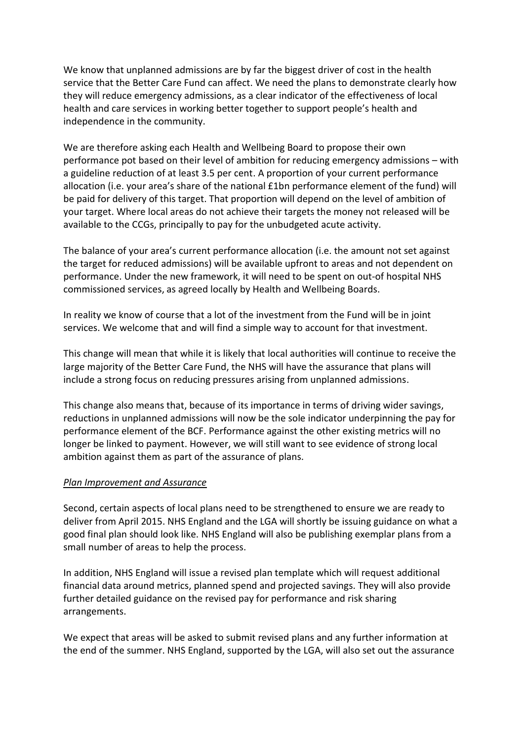We know that unplanned admissions are by far the biggest driver of cost in the health service that the Better Care Fund can affect. We need the plans to demonstrate clearly how they will reduce emergency admissions, as a clear indicator of the effectiveness of local health and care services in working better together to support people's health and independence in the community.

We are therefore asking each Health and Wellbeing Board to propose their own performance pot based on their level of ambition for reducing emergency admissions – with a guideline reduction of at least 3.5 per cent. A proportion of your current performance allocation (i.e. your area's share of the national £1bn performance element of the fund) will be paid for delivery of this target. That proportion will depend on the level of ambition of your target. Where local areas do not achieve their targets the money not released will be available to the CCGs, principally to pay for the unbudgeted acute activity.

The balance of your area's current performance allocation (i.e. the amount not set against the target for reduced admissions) will be available upfront to areas and not dependent on performance. Under the new framework, it will need to be spent on out-of hospital NHS commissioned services, as agreed locally by Health and Wellbeing Boards.

In reality we know of course that a lot of the investment from the Fund will be in joint services. We welcome that and will find a simple way to account for that investment.

This change will mean that while it is likely that local authorities will continue to receive the large majority of the Better Care Fund, the NHS will have the assurance that plans will include a strong focus on reducing pressures arising from unplanned admissions.

This change also means that, because of its importance in terms of driving wider savings, reductions in unplanned admissions will now be the sole indicator underpinning the pay for performance element of the BCF. Performance against the other existing metrics will no longer be linked to payment. However, we will still want to see evidence of strong local ambition against them as part of the assurance of plans.

## *Plan Improvement and Assurance*

Second, certain aspects of local plans need to be strengthened to ensure we are ready to deliver from April 2015. NHS England and the LGA will shortly be issuing guidance on what a good final plan should look like. NHS England will also be publishing exemplar plans from a small number of areas to help the process.

In addition, NHS England will issue a revised plan template which will request additional financial data around metrics, planned spend and projected savings. They will also provide further detailed guidance on the revised pay for performance and risk sharing arrangements.

We expect that areas will be asked to submit revised plans and any further information at the end of the summer. NHS England, supported by the LGA, will also set out the assurance